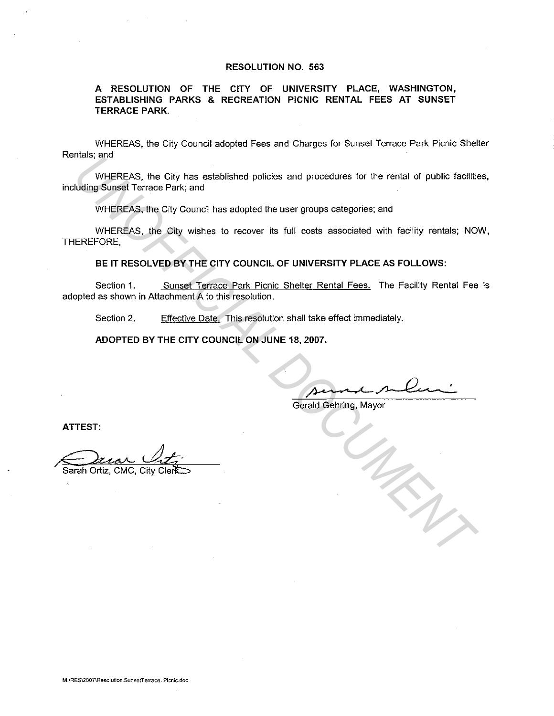## **RESOLUTION NO. 563**

**A RESOLUTION OF THE CITY OF UNIVERSITY PLACE, WASHINGTON, ESTABLISHING PARKS & RECREATION PICNIC RENTAL FEES AT SUNSET TERRACE PARK.** 

WHEREAS, the City Council adopted Fees and Charges for Sunset Terrace Park Picnic Shelter Rentals; and

WHEREAS, the City has established policies and procedures for the rental of public facilities, including Sunset Terrace Park; and

WHEREAS, the City Council has adopted the user groups categories; and

WHEREAS, the City wishes to recover its full costs associated with facility rentals; NOW, THEREFORE,

**BE IT RESOLVED BY THE CITY COUNCIL OF UNIVERSITY PLACE AS FOLLOWS:** 

Section 1. Sunset Terrace Park Picnic Shelter Rental Fees. The Facility Rental Fee is adopted as shown in Attachment A to this resolution. The Structure of Park, and WHEREAS, the City has established policies and procedures for the rental of public facilities<br>
Unding Sunset Terrace Park; and<br>
WHEREAS, the City Council has adopted the user groups categories; a

Section 2. Effective Date. This resolution shall take effect immediately.

**ADOPTED BY THE CITY COUNCIL ON JUNE 18, 2007.** 

Gerald Gehring, Mayor

**ATTEST:** 

Sarah Ortiz, CMC, City Cle